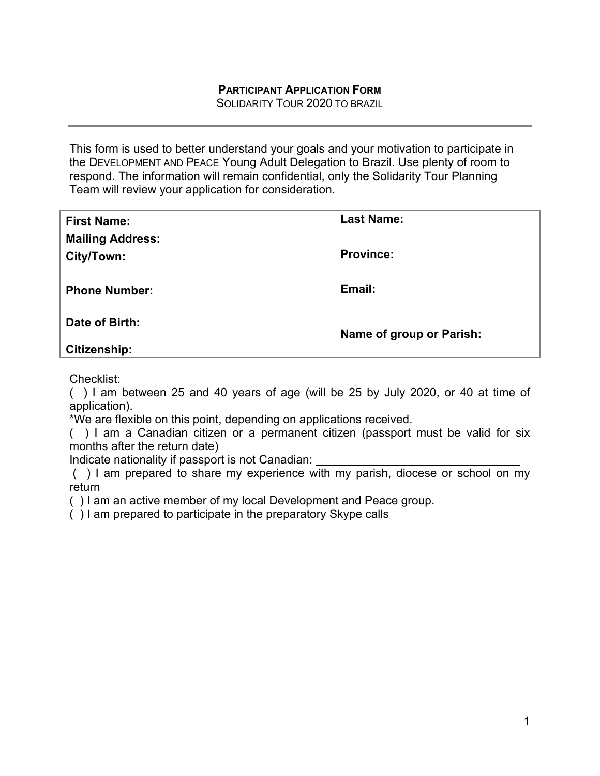SOLIDARITY TOUR 2020 TO BRAZIL

This form is used to better understand your goals and your motivation to participate in the DEVELOPMENT AND PEACE Young Adult Delegation to Brazil. Use plenty of room to respond. The information will remain confidential, only the Solidarity Tour Planning Team will review your application for consideration.

| <b>First Name:</b>      | <b>Last Name:</b>        |
|-------------------------|--------------------------|
| <b>Mailing Address:</b> |                          |
| City/Town:              | <b>Province:</b>         |
|                         |                          |
| <b>Phone Number:</b>    | Email:                   |
|                         |                          |
| Date of Birth:          | Name of group or Parish: |
| Citizenship:            |                          |

Checklist:

( ) I am between 25 and 40 years of age (will be 25 by July 2020, or 40 at time of application).

\*We are flexible on this point, depending on applications received.

( ) I am a Canadian citizen or a permanent citizen (passport must be valid for six months after the return date)

Indicate nationality if passport is not Canadian:

 ( ) I am prepared to share my experience with my parish, diocese or school on my return

( ) I am an active member of my local Development and Peace group.

( ) I am prepared to participate in the preparatory Skype calls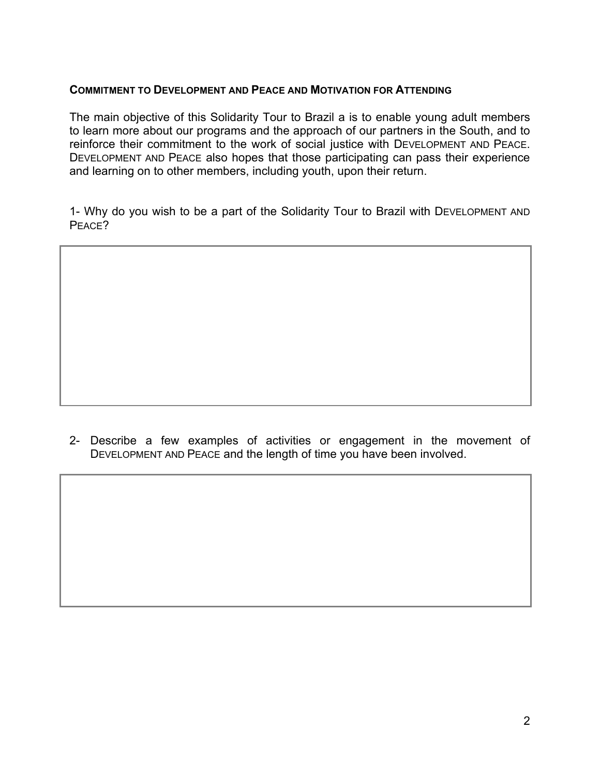#### **COMMITMENT TO DEVELOPMENT AND PEACE AND MOTIVATION FOR ATTENDING**

The main objective of this Solidarity Tour to Brazil a is to enable young adult members to learn more about our programs and the approach of our partners in the South, and to reinforce their commitment to the work of social justice with DEVELOPMENT AND PEACE. DEVELOPMENT AND PEACE also hopes that those participating can pass their experience and learning on to other members, including youth, upon their return.

1- Why do you wish to be a part of the Solidarity Tour to Brazil with DEVELOPMENT AND PEACE?

2- Describe a few examples of activities or engagement in the movement of DEVELOPMENT AND PEACE and the length of time you have been involved.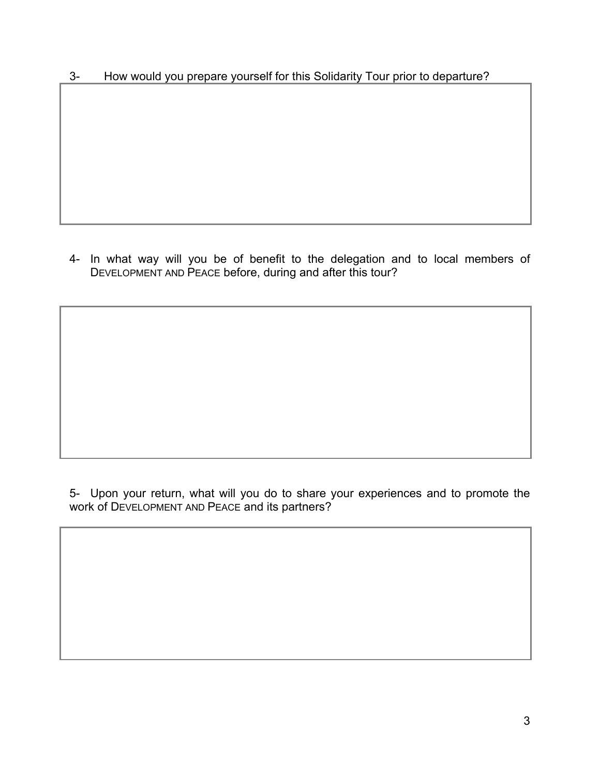3- How would you prepare yourself for this Solidarity Tour prior to departure?

4- In what way will you be of benefit to the delegation and to local members of DEVELOPMENT AND PEACE before, during and after this tour?

5- Upon your return, what will you do to share your experiences and to promote the work of DEVELOPMENT AND PEACE and its partners?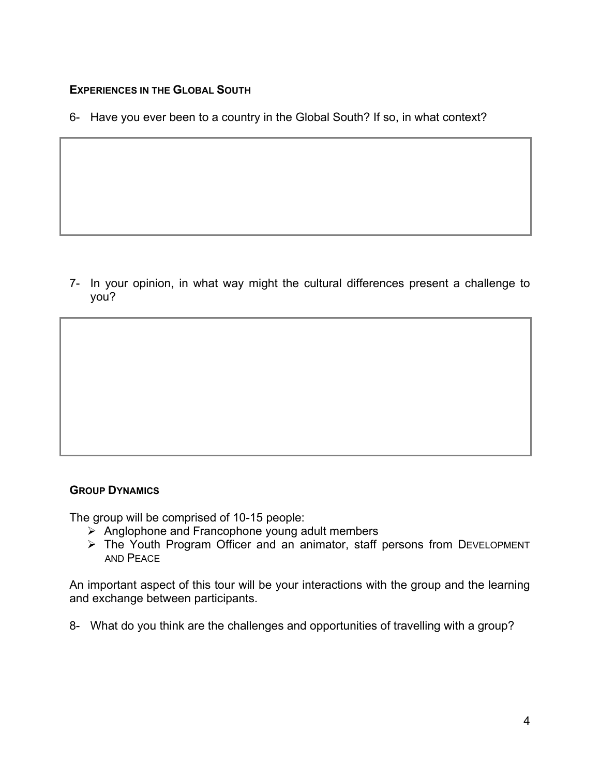# **EXPERIENCES IN THE GLOBAL SOUTH**

6- Have you ever been to a country in the Global South? If so, in what context?

7- In your opinion, in what way might the cultural differences present a challenge to you?

### **GROUP DYNAMICS**

The group will be comprised of 10-15 people:

- $\triangleright$  Anglophone and Francophone young adult members
- The Youth Program Officer and an animator, staff persons from DEVELOPMENT AND PEACE

An important aspect of this tour will be your interactions with the group and the learning and exchange between participants.

8- What do you think are the challenges and opportunities of travelling with a group?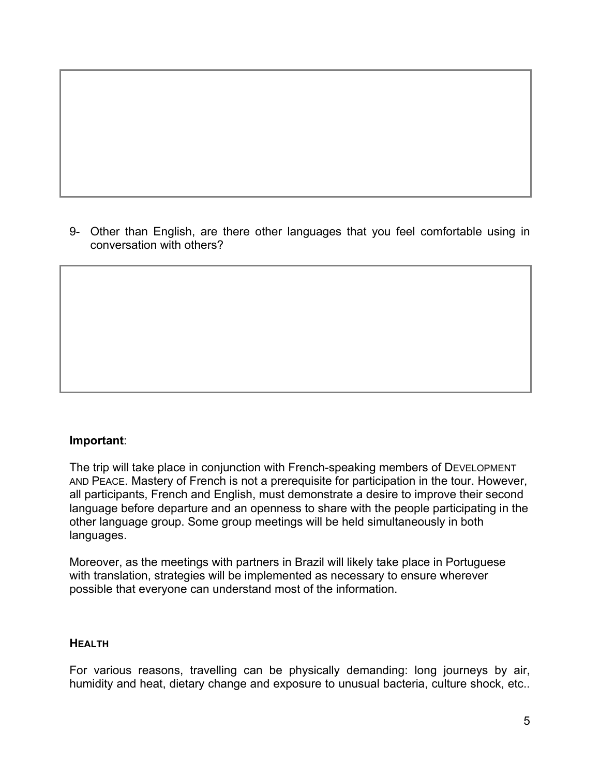9- Other than English, are there other languages that you feel comfortable using in conversation with others?

### **Important**:

The trip will take place in conjunction with French-speaking members of DEVELOPMENT AND PEACE. Mastery of French is not a prerequisite for participation in the tour. However, all participants, French and English, must demonstrate a desire to improve their second language before departure and an openness to share with the people participating in the other language group. Some group meetings will be held simultaneously in both languages.

Moreover, as the meetings with partners in Brazil will likely take place in Portuguese with translation, strategies will be implemented as necessary to ensure wherever possible that everyone can understand most of the information.

#### **HEALTH**

For various reasons, travelling can be physically demanding: long journeys by air, humidity and heat, dietary change and exposure to unusual bacteria, culture shock, etc..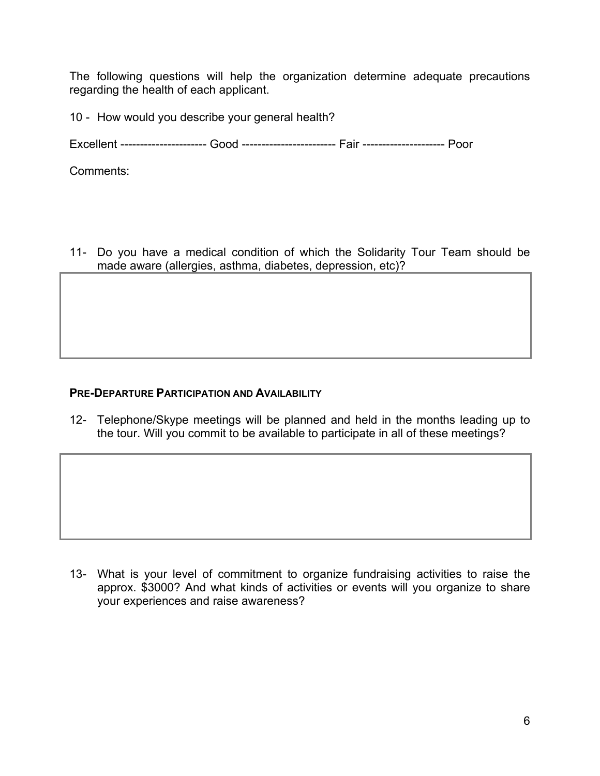The following questions will help the organization determine adequate precautions regarding the health of each applicant.

10 - How would you describe your general health?

Excellent ---------------------- Good ------------------------ Fair --------------------- Poor

Comments:

11- Do you have a medical condition of which the Solidarity Tour Team should be made aware (allergies, asthma, diabetes, depression, etc)?

## **PRE-DEPARTURE PARTICIPATION AND AVAILABILITY**

12- Telephone/Skype meetings will be planned and held in the months leading up to the tour. Will you commit to be available to participate in all of these meetings?

13- What is your level of commitment to organize fundraising activities to raise the approx. \$3000? And what kinds of activities or events will you organize to share your experiences and raise awareness?